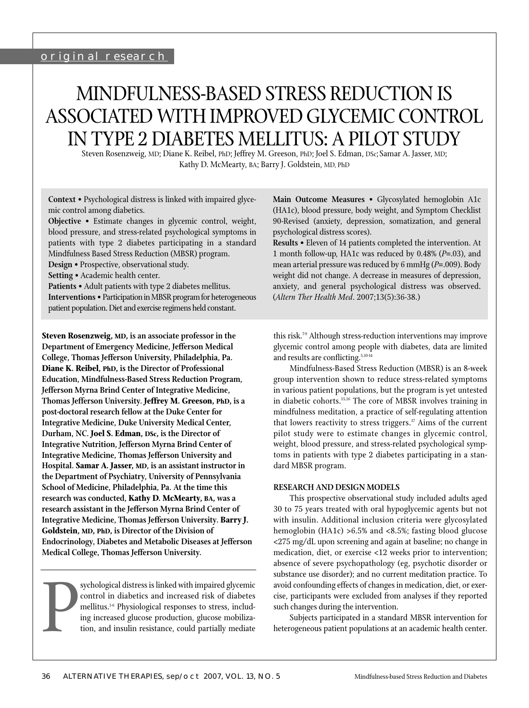## original research

# MINDFULNESS-BASED STRESS REDUCTION IS ASSOCIATED WITH IMPROVED GLYCEMIC CONTROL IN TYPE 2 DIABETES MELLITUS: A PILOT STUDY

Steven Rosenzweig, MD; Diane K. Reibel, PhD; Jeffrey M. Greeson, PhD; Joel S. Edman, DSc;Samar A. Jasser, MD; Kathy D. McMearty, BA; Barry J. Goldstein, MD, PhD

**Context** • Psychological distress is linked with impaired glycemic control among diabetics.

**Objective** • Estimate changes in glycemic control, weight, blood pressure, and stress-related psychological symptoms in patients with type 2 diabetes participating in a standard Mindfulness Based Stress Reduction (MBSR) program.

**Design** • Prospective, observational study.

**Patients** • Adult patients with type 2 diabetes mellitus. **Interventions** • Participation in MBSR program for heterogeneous patient population. Diet and exercise regimens held constant.

**Steven Rosenzweig, MD, is an associate professor in the Department of Emergency Medicine, Jefferson Medical College, Thomas Jefferson University, Philadelphia, Pa. Diane K. Reibel, PhD, is the Director of Professional Education, Mindfulness-Based Stress Reduction Program, Jefferson Myrna Brind Center of Integrative Medicine, Thomas Jefferson University. Jeffrey M. Greeson, PhD, is a post-doctoral research fellow at the Duke Center for Integrative Medicine, Duke University Medical Center, Durham, NC. Joel S. Edman, DSc, is the Director of Integrative Nutrition, Jefferson Myrna Brind Center of Integrative Medicine, Thomas Jefferson University and Hospital. Samar A. Jasser, MD, is an assistant instructor in the Department of Psychiatry, University of Pennsylvania School of Medicine, Philadelphia, Pa. At the time this research was conducted, Kathy D. McMearty, BA, was a research assistant in the Jefferson Myrna Brind Center of Integrative Medicine, Thomas Jefferson University. Barry J. Goldstein, MD, PhD, is Director of the Division of Endocrinology, Diabetes and Metabolic Diseases at Jefferson Medical College, Thomas Jefferson University.**

P sychological distress is linked with impaired glycemic control in diabetics and increased risk of diabetes mellitus.1-6 Physiological responses to stress, including increased glucose production, glucose mobilization, and insulin resistance, could partially mediate

**Main Outcome Measures** • Glycosylated hemoglobin A1c (HA1c), blood pressure, body weight, and Symptom Checklist 90-Revised (anxiety, depression, somatization, and general psychological distress scores).

**Results** • Eleven of 14 patients completed the intervention. At 1 month follow-up, HA1c was reduced by 0.48% (*P*=.03), and mean arterial pressure was reduced by 6 mmHg (*P*=.009). Body weight did not change. A decrease in measures of depression, anxiety, and general psychological distress was observed. (*Altern Ther Health Med*. 2007;13(5):36-38.)

this risk.7-9 Although stress-reduction interventions may improve glycemic control among people with diabetes, data are limited and results are conflicting. $5,10-14$ 

Mindfulness-Based Stress Reduction (MBSR) is an 8-week group intervention shown to reduce stress-related symptoms in various patient populations, but the program is yet untested in diabetic cohorts.15,16 The core of MBSR involves training in mindfulness meditation, a practice of self-regulating attention that lowers reactivity to stress triggers. $17$  Aims of the current pilot study were to estimate changes in glycemic control, weight, blood pressure, and stress-related psychological symptoms in patients with type 2 diabetes participating in a standard MBSR program.

### **RESEARCH AND DESIGN MODELS**

This prospective observational study included adults aged 30 to 75 years treated with oral hypoglycemic agents but not with insulin. Additional inclusion criteria were glycosylated hemoglobin (HA1c) >6.5% and <8.5%; fasting blood glucose <275 mg/dL upon screening and again at baseline; no change in medication, diet, or exercise <12 weeks prior to intervention; absence of severe psychopathology (eg, psychotic disorder or substance use disorder); and no current meditation practice. To avoid confounding effects of changes in medication, diet, or exercise, participants were excluded from analyses if they reported such changes during the intervention.

Subjects participated in a standard MBSR intervention for heterogeneous patient populations at an academic health center.

**Setting** • Academic health center.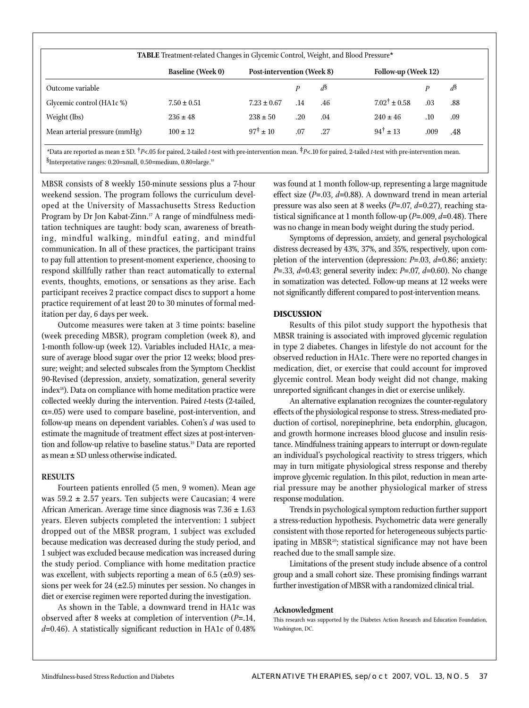| TABLE Treatment-related Changes in Glycemic Control, Weight, and Blood Pressure* |                                   |     |                |                           |      |                |
|----------------------------------------------------------------------------------|-----------------------------------|-----|----------------|---------------------------|------|----------------|
| <b>Baseline (Week 0)</b><br>Outcome variable                                     | <b>Post-intervention (Week 8)</b> |     |                | Follow-up (Week 12)       |      |                |
|                                                                                  |                                   | P   | d <sup>8</sup> |                           | P    | d <sup>§</sup> |
| $7.50 \pm 0.51$                                                                  | $7.23 \pm 0.67$                   | .14 | .46            | $7.02^{\dagger} \pm 0.58$ | .03  | .88            |
| $236 \pm 48$                                                                     | $238 \pm 50$                      | .20 | .04            | $240 \pm 46$              | .10  | .09            |
| $100 \pm 12$                                                                     | $97^{\ddagger} + 10$              | .07 | .27            | $94^{\dagger} \pm 13$     | .009 | .48            |
|                                                                                  |                                   |     |                |                           |      |                |

*\**Data are reported as mean ± SD. †*P*<.05 for paired, 2-tailed *t*-test with pre-intervention mean. ‡*P*<.10 for paired, 2-tailed *t*-test with pre-intervention mean. §Interpretative ranges: 0.20=small, 0.50=medium, 0.80=large.19

MBSR consists of 8 weekly 150-minute sessions plus a 7-hour weekend session. The program follows the curriculum developed at the University of Massachusetts Stress Reduction Program by Dr Jon Kabat-Zinn.<sup>17</sup> A range of mindfulness meditation techniques are taught: body scan, awareness of breathing, mindful walking, mindful eating, and mindful communication. In all of these practices, the participant trains to pay full attention to present-moment experience, choosing to respond skillfully rather than react automatically to external events, thoughts, emotions, or sensations as they arise. Each participant receives 2 practice compact discs to support a home practice requirement of at least 20 to 30 minutes of formal meditation per day, 6 days per week.

Outcome measures were taken at 3 time points: baseline (week preceding MBSR), program completion (week 8), and 1-month follow-up (week 12). Variables included HA1c, a measure of average blood sugar over the prior 12 weeks; blood pressure; weight; and selected subscales from the Symptom Checklist 90-Revised (depression, anxiety, somatization, general severity index<sup>18</sup>). Data on compliance with home meditation practice were collected weekly during the intervention. Paired *t*-tests (2-tailed,  $\alpha$ =.05) were used to compare baseline, post-intervention, and follow-up means on dependent variables. Cohen's *d* was used to estimate the magnitude of treatment effect sizes at post-intervention and follow-up relative to baseline status.19 Data are reported as mean ± SD unless otherwise indicated.

## **RESULTS**

Fourteen patients enrolled (5 men, 9 women). Mean age was  $59.2 \pm 2.57$  years. Ten subjects were Caucasian; 4 were African American. Average time since diagnosis was  $7.36 \pm 1.63$ years. Eleven subjects completed the intervention: 1 subject dropped out of the MBSR program, 1 subject was excluded because medication was decreased during the study period, and 1 subject was excluded because medication was increased during the study period. Compliance with home meditation practice was excellent, with subjects reporting a mean of 6.5  $(\pm 0.9)$  sessions per week for 24 ( $\pm$ 2.5) minutes per session. No changes in diet or exercise regimen were reported during the investigation.

As shown in the Table, a downward trend in HA1c was observed after 8 weeks at completion of intervention (*P*=.14,  $d=0.46$ ). A statistically significant reduction in HA1c of  $0.48\%$ 

was found at 1 month follow-up, representing a large magnitude effect size (*P*=.03, *d*=0.88). A downward trend in mean arterial pressure was also seen at 8 weeks (*P*=.07, *d*=0.27), reaching statistical significance at 1 month follow-up (P=.009, d=0.48). There was no change in mean body weight during the study period.

Symptoms of depression, anxiety, and general psychological distress decreased by 43%, 37%, and 35%, respectively, upon completion of the intervention (depression: *P*=.03, *d*=0.86; anxiety: *P*=.33, *d*=0.43; general severity index: *P*=.07, *d*=0.60). No change in somatization was detected. Follow-up means at 12 weeks were not significantly different compared to post-intervention means.

#### **DISCUSSION**

Results of this pilot study support the hypothesis that MBSR training is associated with improved glycemic regulation in type 2 diabetes. Changes in lifestyle do not account for the observed reduction in HA1c. There were no reported changes in medication, diet, or exercise that could account for improved glycemic control. Mean body weight did not change, making unreported significant changes in diet or exercise unlikely.

An alternative explanation recognizes the counter-regulatory effects of the physiological response to stress. Stress-mediated production of cortisol, norepinephrine, beta endorphin, glucagon, and growth hormone increases blood glucose and insulin resistance. Mindfulness training appears to interrupt or down-regulate an individual's psychological reactivity to stress triggers, which may in turn mitigate physiological stress response and thereby improve glycemic regulation. In this pilot, reduction in mean arterial pressure may be another physiological marker of stress response modulation.

Trends in psychological symptom reduction further support a stress-reduction hypothesis. Psychometric data were generally consistent with those reported for heterogeneous subjects participating in MBSR<sup>20</sup>; statistical significance may not have been reached due to the small sample size.

Limitations of the present study include absence of a control group and a small cohort size. These promising findings warrant further investigation of MBSR with a randomized clinical trial.

#### **Acknowledgment**

This research was supported by the Diabetes Action Research and Education Foundation, Washington, DC.